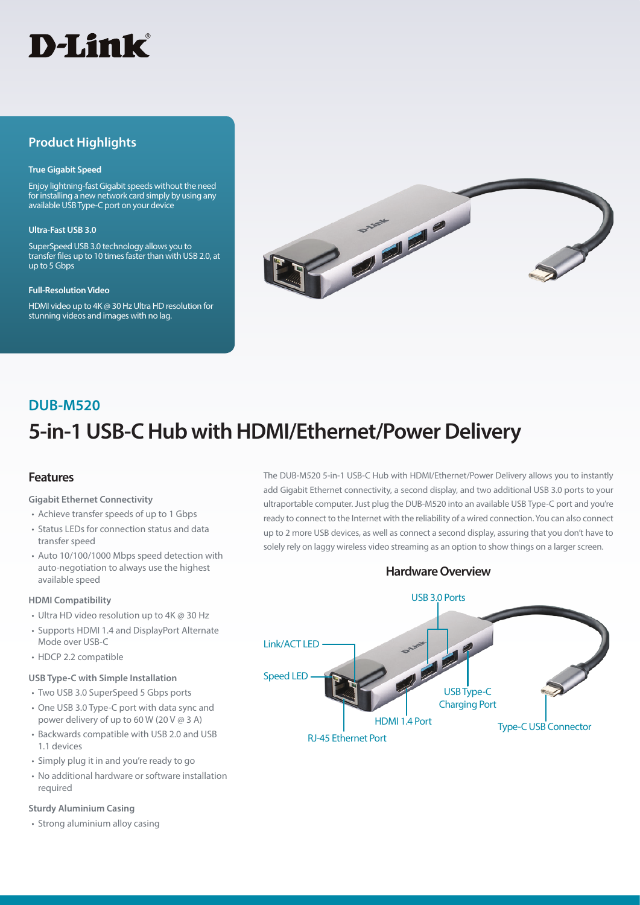

# **Product Highlights**

#### **True Gigabit Speed**

Enjoy lightning-fast Gigabit speeds without the need for installing a new network card simply by using any available USB Type-C port on your device

#### **Ultra-Fast USB 3.0**

SuperSpeed USB 3.0 technology allows you to transfer files up to 10 times faster than with USB 2.0, at up to 5 Gbps

#### **Full-Resolution Video**

HDMI video up to 4K @ 30 Hz Ultra HD resolution for stunning videos and images with no lag.



# **5-in-1 USB-C Hub with HDMI/Ethernet/Power Delivery DUB-M520**

### **Features**

**Gigabit Ethernet Connectivity**

- Achieve transfer speeds of up to 1 Gbps
- Status LEDs for connection status and data transfer speed
- Auto 10/100/1000 Mbps speed detection with auto-negotiation to always use the highest available speed

#### **HDMI Compatibility**

- Ultra HD video resolution up to 4K @ 30 Hz
- Supports HDMI 1.4 and DisplayPort Alternate Mode over USB-C
- HDCP 2.2 compatible

#### **USB Type-C with Simple Installation**

- Two USB 3.0 SuperSpeed 5 Gbps ports • One USB 3.0 Type-C port with data sync and power delivery of up to 60 W (20 V @ 3 A)
- Backwards compatible with USB 2.0 and USB 1.1 devices
- Simply plug it in and you're ready to go
- No additional hardware or software installation required

#### **Sturdy Aluminium Casing**

• Strong aluminium alloy casing

The DUB-M520 5-in-1 USB-C Hub with HDMI/Ethernet/Power Delivery allows you to instantly add Gigabit Ethernet connectivity, a second display, and two additional USB 3.0 ports to your ultraportable computer. Just plug the DUB-M520 into an available USB Type-C port and you're ready to connect to the Internet with the reliability of a wired connection. You can also connect up to 2 more USB devices, as well as connect a second display, assuring that you don't have to solely rely on laggy wireless video streaming as an option to show things on a larger screen.